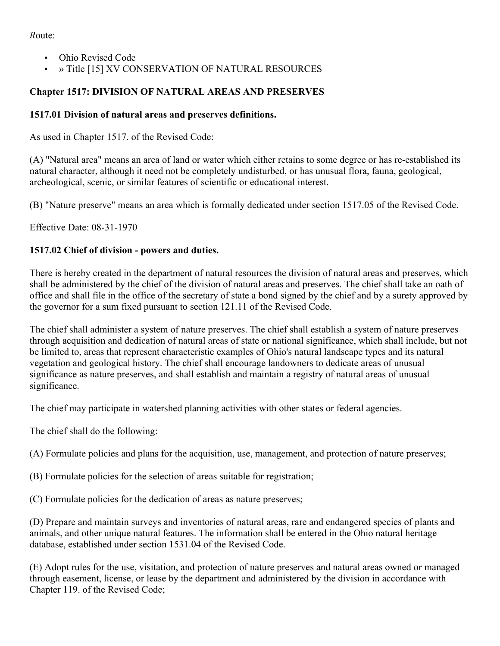*R*oute:

- Ohio Revised Code
- » Title [15] XV CONSERVATION OF NATURAL RESOURCES

## **Chapter 1517: DIVISION OF NATURAL AREAS AND PRESERVES**

## **1517.01 Division of natural areas and preserves definitions.**

As used in Chapter 1517. of the Revised Code:

(A) "Natural area" means an area of land or water which either retains to some degree or has re-established its natural character, although it need not be completely undisturbed, or has unusual flora, fauna, geological, archeological, scenic, or similar features of scientific or educational interest.

(B) "Nature preserve" means an area which is formally dedicated under section 1517.05 of the Revised Code.

Effective Date: 08-31-1970

## **1517.02 Chief of division - powers and duties.**

There is hereby created in the department of natural resources the division of natural areas and preserves, which shall be administered by the chief of the division of natural areas and preserves. The chief shall take an oath of office and shall file in the office of the secretary of state a bond signed by the chief and by a surety approved by the governor for a sum fixed pursuant to section 121.11 of the Revised Code.

The chief shall administer a system of nature preserves. The chief shall establish a system of nature preserves through acquisition and dedication of natural areas of state or national significance, which shall include, but not be limited to, areas that represent characteristic examples of Ohio's natural landscape types and its natural vegetation and geological history. The chief shall encourage landowners to dedicate areas of unusual significance as nature preserves, and shall establish and maintain a registry of natural areas of unusual significance.

The chief may participate in watershed planning activities with other states or federal agencies.

The chief shall do the following:

(A) Formulate policies and plans for the acquisition, use, management, and protection of nature preserves;

(B) Formulate policies for the selection of areas suitable for registration;

(C) Formulate policies for the dedication of areas as nature preserves;

(D) Prepare and maintain surveys and inventories of natural areas, rare and endangered species of plants and animals, and other unique natural features. The information shall be entered in the Ohio natural heritage database, established under section 1531.04 of the Revised Code.

(E) Adopt rules for the use, visitation, and protection of nature preserves and natural areas owned or managed through easement, license, or lease by the department and administered by the division in accordance with Chapter 119. of the Revised Code;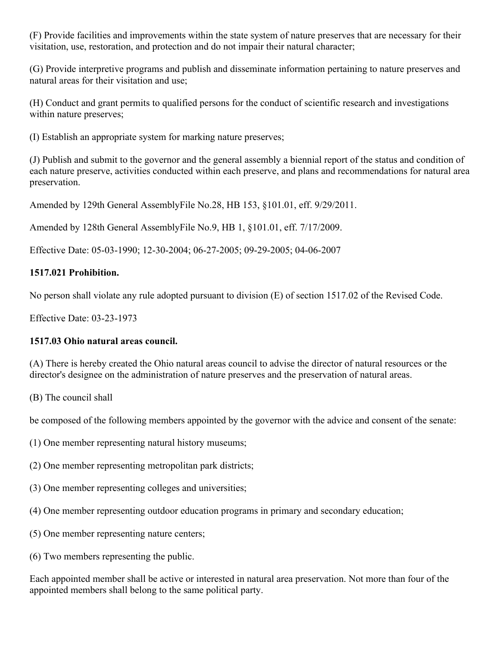(F) Provide facilities and improvements within the state system of nature preserves that are necessary for their visitation, use, restoration, and protection and do not impair their natural character;

(G) Provide interpretive programs and publish and disseminate information pertaining to nature preserves and natural areas for their visitation and use;

(H) Conduct and grant permits to qualified persons for the conduct of scientific research and investigations within nature preserves;

(I) Establish an appropriate system for marking nature preserves;

(J) Publish and submit to the governor and the general assembly a biennial report of the status and condition of each nature preserve, activities conducted within each preserve, and plans and recommendations for natural area preservation.

Amended by 129th General AssemblyFile No.28, HB 153, §101.01, eff. 9/29/2011.

Amended by 128th General AssemblyFile No.9, HB 1, §101.01, eff. 7/17/2009.

Effective Date: 05-03-1990; 12-30-2004; 06-27-2005; 09-29-2005; 04-06-2007

#### **1517.021 Prohibition.**

No person shall violate any rule adopted pursuant to division (E) of section 1517.02 of the Revised Code.

Effective Date: 03-23-1973

## **1517.03 Ohio natural areas council.**

(A) There is hereby created the Ohio natural areas council to advise the director of natural resources or the director's designee on the administration of nature preserves and the preservation of natural areas.

(B) The council shall

be composed of the following members appointed by the governor with the advice and consent of the senate:

- (1) One member representing natural history museums;
- (2) One member representing metropolitan park districts;
- (3) One member representing colleges and universities;
- (4) One member representing outdoor education programs in primary and secondary education;
- (5) One member representing nature centers;
- (6) Two members representing the public.

Each appointed member shall be active or interested in natural area preservation. Not more than four of the appointed members shall belong to the same political party.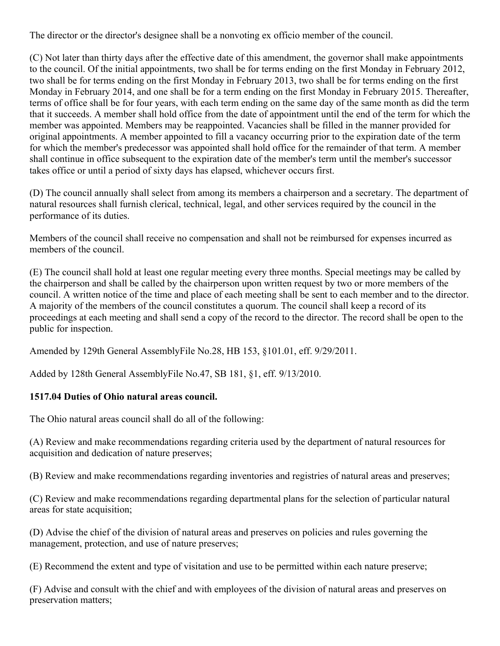The director or the director's designee shall be a nonvoting ex officio member of the council.

(C) Not later than thirty days after the effective date of this amendment, the governor shall make appointments to the council. Of the initial appointments, two shall be for terms ending on the first Monday in February 2012, two shall be for terms ending on the first Monday in February 2013, two shall be for terms ending on the first Monday in February 2014, and one shall be for a term ending on the first Monday in February 2015. Thereafter, terms of office shall be for four years, with each term ending on the same day of the same month as did the term that it succeeds. A member shall hold office from the date of appointment until the end of the term for which the member was appointed. Members may be reappointed. Vacancies shall be filled in the manner provided for original appointments. A member appointed to fill a vacancy occurring prior to the expiration date of the term for which the member's predecessor was appointed shall hold office for the remainder of that term. A member shall continue in office subsequent to the expiration date of the member's term until the member's successor takes office or until a period of sixty days has elapsed, whichever occurs first.

(D) The council annually shall select from among its members a chairperson and a secretary. The department of natural resources shall furnish clerical, technical, legal, and other services required by the council in the performance of its duties.

Members of the council shall receive no compensation and shall not be reimbursed for expenses incurred as members of the council.

(E) The council shall hold at least one regular meeting every three months. Special meetings may be called by the chairperson and shall be called by the chairperson upon written request by two or more members of the council. A written notice of the time and place of each meeting shall be sent to each member and to the director. A majority of the members of the council constitutes a quorum. The council shall keep a record of its proceedings at each meeting and shall send a copy of the record to the director. The record shall be open to the public for inspection.

Amended by 129th General AssemblyFile No.28, HB 153, §101.01, eff. 9/29/2011.

Added by 128th General AssemblyFile No.47, SB 181, §1, eff. 9/13/2010.

#### **1517.04 Duties of Ohio natural areas council.**

The Ohio natural areas council shall do all of the following:

(A) Review and make recommendations regarding criteria used by the department of natural resources for acquisition and dedication of nature preserves;

(B) Review and make recommendations regarding inventories and registries of natural areas and preserves;

(C) Review and make recommendations regarding departmental plans for the selection of particular natural areas for state acquisition;

(D) Advise the chief of the division of natural areas and preserves on policies and rules governing the management, protection, and use of nature preserves;

(E) Recommend the extent and type of visitation and use to be permitted within each nature preserve;

(F) Advise and consult with the chief and with employees of the division of natural areas and preserves on preservation matters;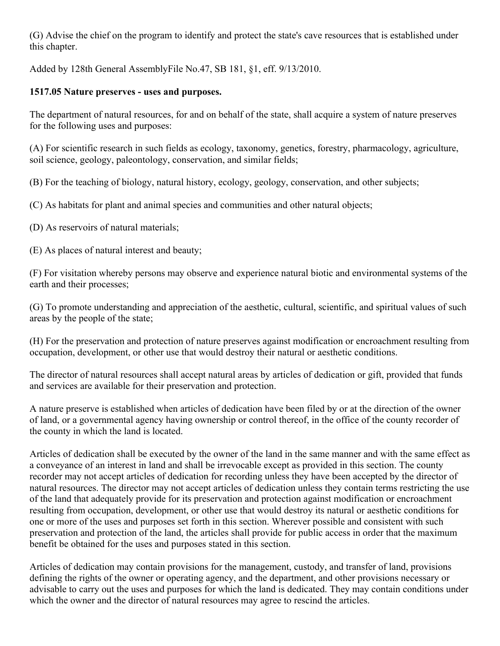(G) Advise the chief on the program to identify and protect the state's cave resources that is established under this chapter.

Added by 128th General AssemblyFile No.47, SB 181, §1, eff. 9/13/2010.

### **1517.05 Nature preserves - uses and purposes.**

The department of natural resources, for and on behalf of the state, shall acquire a system of nature preserves for the following uses and purposes:

(A) For scientific research in such fields as ecology, taxonomy, genetics, forestry, pharmacology, agriculture, soil science, geology, paleontology, conservation, and similar fields;

(B) For the teaching of biology, natural history, ecology, geology, conservation, and other subjects;

(C) As habitats for plant and animal species and communities and other natural objects;

(D) As reservoirs of natural materials;

(E) As places of natural interest and beauty;

(F) For visitation whereby persons may observe and experience natural biotic and environmental systems of the earth and their processes;

(G) To promote understanding and appreciation of the aesthetic, cultural, scientific, and spiritual values of such areas by the people of the state;

(H) For the preservation and protection of nature preserves against modification or encroachment resulting from occupation, development, or other use that would destroy their natural or aesthetic conditions.

The director of natural resources shall accept natural areas by articles of dedication or gift, provided that funds and services are available for their preservation and protection.

A nature preserve is established when articles of dedication have been filed by or at the direction of the owner of land, or a governmental agency having ownership or control thereof, in the office of the county recorder of the county in which the land is located.

Articles of dedication shall be executed by the owner of the land in the same manner and with the same effect as a conveyance of an interest in land and shall be irrevocable except as provided in this section. The county recorder may not accept articles of dedication for recording unless they have been accepted by the director of natural resources. The director may not accept articles of dedication unless they contain terms restricting the use of the land that adequately provide for its preservation and protection against modification or encroachment resulting from occupation, development, or other use that would destroy its natural or aesthetic conditions for one or more of the uses and purposes set forth in this section. Wherever possible and consistent with such preservation and protection of the land, the articles shall provide for public access in order that the maximum benefit be obtained for the uses and purposes stated in this section.

Articles of dedication may contain provisions for the management, custody, and transfer of land, provisions defining the rights of the owner or operating agency, and the department, and other provisions necessary or advisable to carry out the uses and purposes for which the land is dedicated. They may contain conditions under which the owner and the director of natural resources may agree to rescind the articles.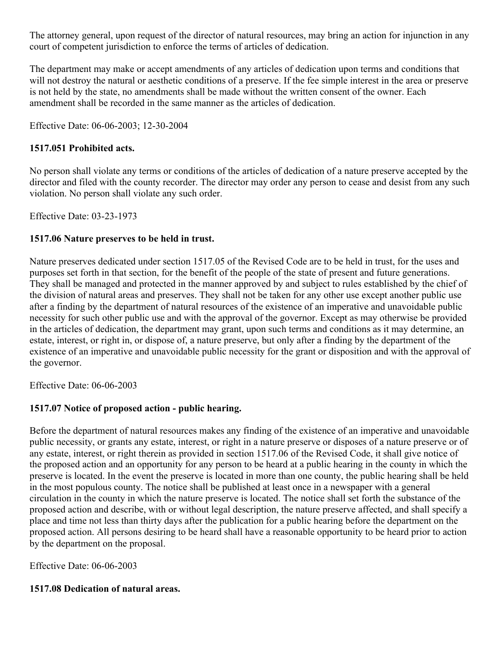The attorney general, upon request of the director of natural resources, may bring an action for injunction in any court of competent jurisdiction to enforce the terms of articles of dedication.

The department may make or accept amendments of any articles of dedication upon terms and conditions that will not destroy the natural or aesthetic conditions of a preserve. If the fee simple interest in the area or preserve is not held by the state, no amendments shall be made without the written consent of the owner. Each amendment shall be recorded in the same manner as the articles of dedication.

Effective Date: 06-06-2003; 12-30-2004

#### **1517.051 Prohibited acts.**

No person shall violate any terms or conditions of the articles of dedication of a nature preserve accepted by the director and filed with the county recorder. The director may order any person to cease and desist from any such violation. No person shall violate any such order.

Effective Date: 03-23-1973

#### **1517.06 Nature preserves to be held in trust.**

Nature preserves dedicated under section 1517.05 of the Revised Code are to be held in trust, for the uses and purposes set forth in that section, for the benefit of the people of the state of present and future generations. They shall be managed and protected in the manner approved by and subject to rules established by the chief of the division of natural areas and preserves. They shall not be taken for any other use except another public use after a finding by the department of natural resources of the existence of an imperative and unavoidable public necessity for such other public use and with the approval of the governor. Except as may otherwise be provided in the articles of dedication, the department may grant, upon such terms and conditions as it may determine, an estate, interest, or right in, or dispose of, a nature preserve, but only after a finding by the department of the existence of an imperative and unavoidable public necessity for the grant or disposition and with the approval of the governor.

Effective Date: 06-06-2003

#### **1517.07 Notice of proposed action - public hearing.**

Before the department of natural resources makes any finding of the existence of an imperative and unavoidable public necessity, or grants any estate, interest, or right in a nature preserve or disposes of a nature preserve or of any estate, interest, or right therein as provided in section 1517.06 of the Revised Code, it shall give notice of the proposed action and an opportunity for any person to be heard at a public hearing in the county in which the preserve is located. In the event the preserve is located in more than one county, the public hearing shall be held in the most populous county. The notice shall be published at least once in a newspaper with a general circulation in the county in which the nature preserve is located. The notice shall set forth the substance of the proposed action and describe, with or without legal description, the nature preserve affected, and shall specify a place and time not less than thirty days after the publication for a public hearing before the department on the proposed action. All persons desiring to be heard shall have a reasonable opportunity to be heard prior to action by the department on the proposal.

Effective Date: 06-06-2003

#### **1517.08 Dedication of natural areas.**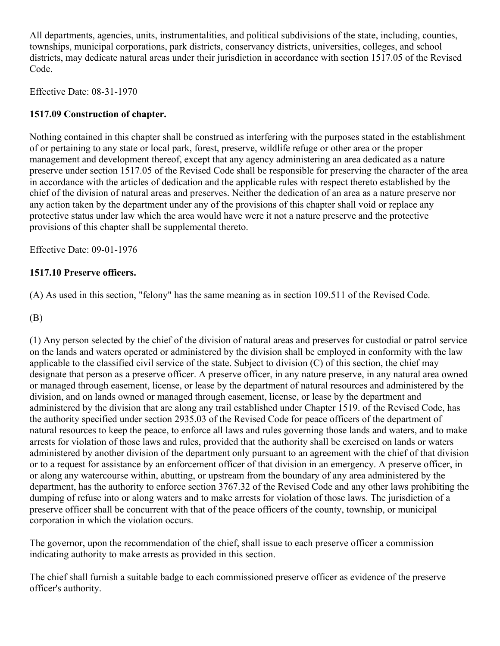All departments, agencies, units, instrumentalities, and political subdivisions of the state, including, counties, townships, municipal corporations, park districts, conservancy districts, universities, colleges, and school districts, may dedicate natural areas under their jurisdiction in accordance with section 1517.05 of the Revised Code.

Effective Date: 08-31-1970

## **1517.09 Construction of chapter.**

Nothing contained in this chapter shall be construed as interfering with the purposes stated in the establishment of or pertaining to any state or local park, forest, preserve, wildlife refuge or other area or the proper management and development thereof, except that any agency administering an area dedicated as a nature preserve under section 1517.05 of the Revised Code shall be responsible for preserving the character of the area in accordance with the articles of dedication and the applicable rules with respect thereto established by the chief of the division of natural areas and preserves. Neither the dedication of an area as a nature preserve nor any action taken by the department under any of the provisions of this chapter shall void or replace any protective status under law which the area would have were it not a nature preserve and the protective provisions of this chapter shall be supplemental thereto.

Effective Date: 09-01-1976

## **1517.10 Preserve officers.**

(A) As used in this section, "felony" has the same meaning as in section 109.511 of the Revised Code.

(B)

(1) Any person selected by the chief of the division of natural areas and preserves for custodial or patrol service on the lands and waters operated or administered by the division shall be employed in conformity with the law applicable to the classified civil service of the state. Subject to division (C) of this section, the chief may designate that person as a preserve officer. A preserve officer, in any nature preserve, in any natural area owned or managed through easement, license, or lease by the department of natural resources and administered by the division, and on lands owned or managed through easement, license, or lease by the department and administered by the division that are along any trail established under Chapter 1519. of the Revised Code, has the authority specified under section 2935.03 of the Revised Code for peace officers of the department of natural resources to keep the peace, to enforce all laws and rules governing those lands and waters, and to make arrests for violation of those laws and rules, provided that the authority shall be exercised on lands or waters administered by another division of the department only pursuant to an agreement with the chief of that division or to a request for assistance by an enforcement officer of that division in an emergency. A preserve officer, in or along any watercourse within, abutting, or upstream from the boundary of any area administered by the department, has the authority to enforce section 3767.32 of the Revised Code and any other laws prohibiting the dumping of refuse into or along waters and to make arrests for violation of those laws. The jurisdiction of a preserve officer shall be concurrent with that of the peace officers of the county, township, or municipal corporation in which the violation occurs.

The governor, upon the recommendation of the chief, shall issue to each preserve officer a commission indicating authority to make arrests as provided in this section.

The chief shall furnish a suitable badge to each commissioned preserve officer as evidence of the preserve officer's authority.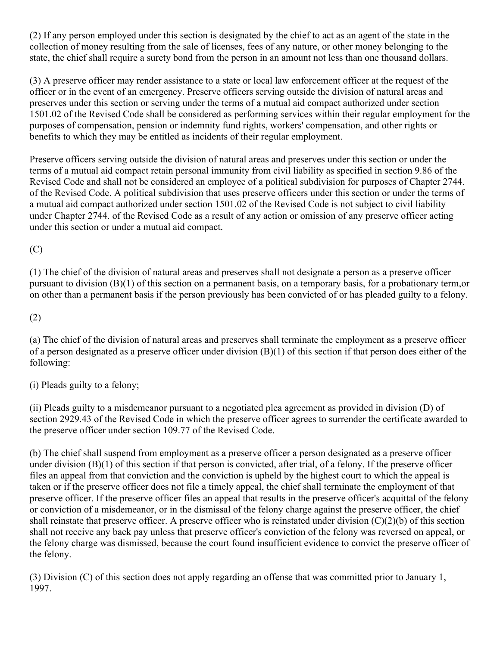(2) If any person employed under this section is designated by the chief to act as an agent of the state in the collection of money resulting from the sale of licenses, fees of any nature, or other money belonging to the state, the chief shall require a surety bond from the person in an amount not less than one thousand dollars.

(3) A preserve officer may render assistance to a state or local law enforcement officer at the request of the officer or in the event of an emergency. Preserve officers serving outside the division of natural areas and preserves under this section or serving under the terms of a mutual aid compact authorized under section 1501.02 of the Revised Code shall be considered as performing services within their regular employment for the purposes of compensation, pension or indemnity fund rights, workers' compensation, and other rights or benefits to which they may be entitled as incidents of their regular employment.

Preserve officers serving outside the division of natural areas and preserves under this section or under the terms of a mutual aid compact retain personal immunity from civil liability as specified in section 9.86 of the Revised Code and shall not be considered an employee of a political subdivision for purposes of Chapter 2744. of the Revised Code. A political subdivision that uses preserve officers under this section or under the terms of a mutual aid compact authorized under section 1501.02 of the Revised Code is not subject to civil liability under Chapter 2744. of the Revised Code as a result of any action or omission of any preserve officer acting under this section or under a mutual aid compact.

## (C)

(1) The chief of the division of natural areas and preserves shall not designate a person as a preserve officer pursuant to division (B)(1) of this section on a permanent basis, on a temporary basis, for a probationary term,or on other than a permanent basis if the person previously has been convicted of or has pleaded guilty to a felony.

## (2)

(a) The chief of the division of natural areas and preserves shall terminate the employment as a preserve officer of a person designated as a preserve officer under division (B)(1) of this section if that person does either of the following:

(i) Pleads guilty to a felony;

(ii) Pleads guilty to a misdemeanor pursuant to a negotiated plea agreement as provided in division (D) of section 2929.43 of the Revised Code in which the preserve officer agrees to surrender the certificate awarded to the preserve officer under section 109.77 of the Revised Code.

(b) The chief shall suspend from employment as a preserve officer a person designated as a preserve officer under division (B)(1) of this section if that person is convicted, after trial, of a felony. If the preserve officer files an appeal from that conviction and the conviction is upheld by the highest court to which the appeal is taken or if the preserve officer does not file a timely appeal, the chief shall terminate the employment of that preserve officer. If the preserve officer files an appeal that results in the preserve officer's acquittal of the felony or conviction of a misdemeanor, or in the dismissal of the felony charge against the preserve officer, the chief shall reinstate that preserve officer. A preserve officer who is reinstated under division  $(C)(2)(b)$  of this section shall not receive any back pay unless that preserve officer's conviction of the felony was reversed on appeal, or the felony charge was dismissed, because the court found insufficient evidence to convict the preserve officer of the felony.

(3) Division (C) of this section does not apply regarding an offense that was committed prior to January 1, 1997.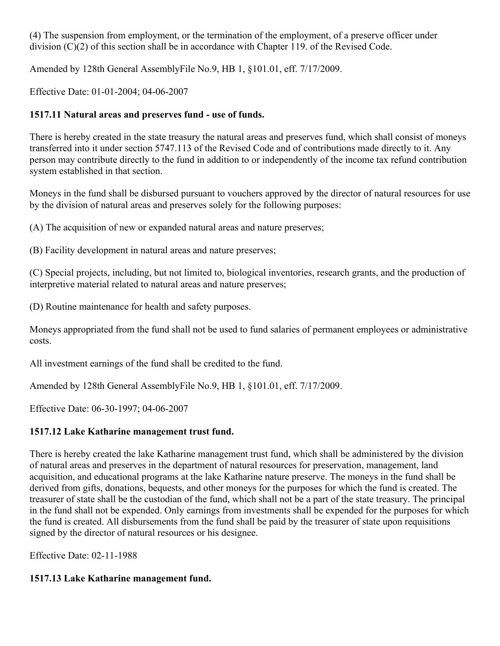(4) The suspension from employment, or the termination of the employment, of a preserve officer under division (C)(2) of this section shall be in accordance with Chapter 119. of the Revised Code.

Amended by 128th General AssemblyFile No.9, HB 1, §101.01, eff. 7/17/2009.

Effective Date: 01-01-2004; 04-06-2007

## **1517.11 Natural areas and preserves fund - use of funds.**

There is hereby created in the state treasury the natural areas and preserves fund, which shall consist of moneys transferred into it under section 5747.113 of the Revised Code and of contributions made directly to it. Any person may contribute directly to the fund in addition to or independently of the income tax refund contribution system established in that section.

Moneys in the fund shall be disbursed pursuant to vouchers approved by the director of natural resources for use by the division of natural areas and preserves solely for the following purposes:

(A) The acquisition of new or expanded natural areas and nature preserves;

(B) Facility development in natural areas and nature preserves;

(C) Special projects, including, but not limited to, biological inventories, research grants, and the production of interpretive material related to natural areas and nature preserves;

(D) Routine maintenance for health and safety purposes.

Moneys appropriated from the fund shall not be used to fund salaries of permanent employees or administrative costs.

All investment earnings of the fund shall be credited to the fund.

Amended by 128th General AssemblyFile No.9, HB 1, §101.01, eff. 7/17/2009.

Effective Date: 06-30-1997; 04-06-2007

#### **1517.12 Lake Katharine management trust fund.**

There is hereby created the lake Katharine management trust fund, which shall be administered by the division of natural areas and preserves in the department of natural resources for preservation, management, land acquisition, and educational programs at the lake Katharine nature preserve. The moneys in the fund shall be derived from gifts, donations, bequests, and other moneys for the purposes for which the fund is created. The treasurer of state shall be the custodian of the fund, which shall not be a part of the state treasury. The principal in the fund shall not be expended. Only earnings from investments shall be expended for the purposes for which the fund is created. All disbursements from the fund shall be paid by the treasurer of state upon requisitions signed by the director of natural resources or his designee.

Effective Date: 02-11-1988

#### **1517.13 Lake Katharine management fund.**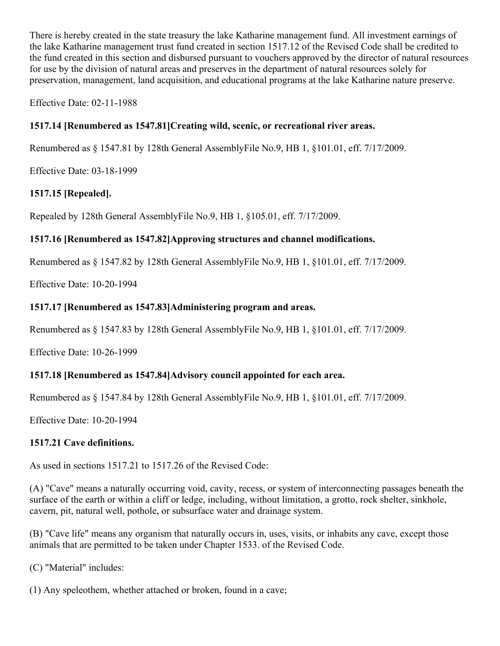There is hereby created in the state treasury the lake Katharine management fund. All investment earnings of the lake Katharine management trust fund created in section 1517.12 of the Revised Code shall be credited to the fund created in this section and disbursed pursuant to vouchers approved by the director of natural resources for use by the division of natural areas and preserves in the department of natural resources solely for preservation, management, land acquisition, and educational programs at the lake Katharine nature preserve.

Effective Date: 02-11-1988

#### **1517.14 [Renumbered as 1547.81]Creating wild, scenic, or recreational river areas.**

Renumbered as § 1547.81 by 128th General AssemblyFile No.9, HB 1, §101.01, eff. 7/17/2009.

Effective Date: 03-18-1999

#### **1517.15 [Repealed].**

Repealed by 128th General AssemblyFile No.9, HB 1, §105.01, eff. 7/17/2009.

#### **1517.16 [Renumbered as 1547.82]Approving structures and channel modifications.**

Renumbered as § 1547.82 by 128th General AssemblyFile No.9, HB 1, §101.01, eff. 7/17/2009.

Effective Date: 10-20-1994

#### **1517.17 [Renumbered as 1547.83]Administering program and areas.**

Renumbered as § 1547.83 by 128th General AssemblyFile No.9, HB 1, §101.01, eff. 7/17/2009.

Effective Date: 10-26-1999

## **1517.18 [Renumbered as 1547.84]Advisory council appointed for each area.**

Renumbered as § 1547.84 by 128th General AssemblyFile No.9, HB 1, §101.01, eff. 7/17/2009.

Effective Date: 10-20-1994

## **1517.21 Cave definitions.**

As used in sections 1517.21 to 1517.26 of the Revised Code:

(A) "Cave" means a naturally occurring void, cavity, recess, or system of interconnecting passages beneath the surface of the earth or within a cliff or ledge, including, without limitation, a grotto, rock shelter, sinkhole, cavern, pit, natural well, pothole, or subsurface water and drainage system.

(B) "Cave life" means any organism that naturally occurs in, uses, visits, or inhabits any cave, except those animals that are permitted to be taken under Chapter 1533. of the Revised Code.

(C) "Material" includes:

(1) Any speleothem, whether attached or broken, found in a cave;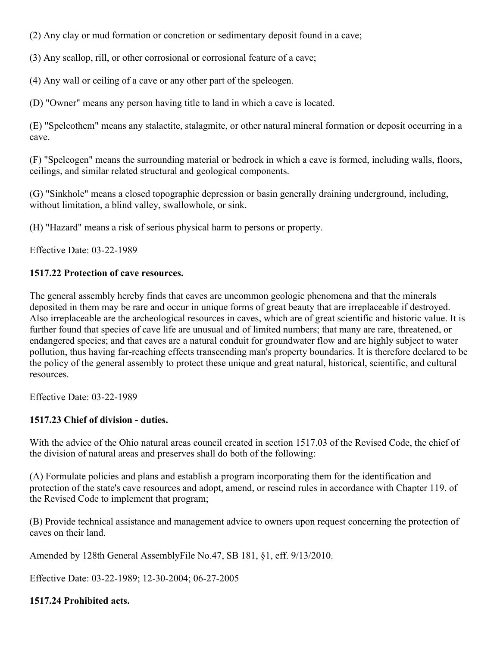(2) Any clay or mud formation or concretion or sedimentary deposit found in a cave;

(3) Any scallop, rill, or other corrosional or corrosional feature of a cave;

(4) Any wall or ceiling of a cave or any other part of the speleogen.

(D) "Owner" means any person having title to land in which a cave is located.

(E) "Speleothem" means any stalactite, stalagmite, or other natural mineral formation or deposit occurring in a cave.

(F) "Speleogen" means the surrounding material or bedrock in which a cave is formed, including walls, floors, ceilings, and similar related structural and geological components.

(G) "Sinkhole" means a closed topographic depression or basin generally draining underground, including, without limitation, a blind valley, swallowhole, or sink.

(H) "Hazard" means a risk of serious physical harm to persons or property.

Effective Date: 03-22-1989

#### **1517.22 Protection of cave resources.**

The general assembly hereby finds that caves are uncommon geologic phenomena and that the minerals deposited in them may be rare and occur in unique forms of great beauty that are irreplaceable if destroyed. Also irreplaceable are the archeological resources in caves, which are of great scientific and historic value. It is further found that species of cave life are unusual and of limited numbers; that many are rare, threatened, or endangered species; and that caves are a natural conduit for groundwater flow and are highly subject to water pollution, thus having far-reaching effects transcending man's property boundaries. It is therefore declared to be the policy of the general assembly to protect these unique and great natural, historical, scientific, and cultural resources.

Effective Date: 03-22-1989

#### **1517.23 Chief of division - duties.**

With the advice of the Ohio natural areas council created in section 1517.03 of the Revised Code, the chief of the division of natural areas and preserves shall do both of the following:

(A) Formulate policies and plans and establish a program incorporating them for the identification and protection of the state's cave resources and adopt, amend, or rescind rules in accordance with Chapter 119. of the Revised Code to implement that program;

(B) Provide technical assistance and management advice to owners upon request concerning the protection of caves on their land.

Amended by 128th General AssemblyFile No.47, SB 181, §1, eff. 9/13/2010.

Effective Date: 03-22-1989; 12-30-2004; 06-27-2005

**1517.24 Prohibited acts.**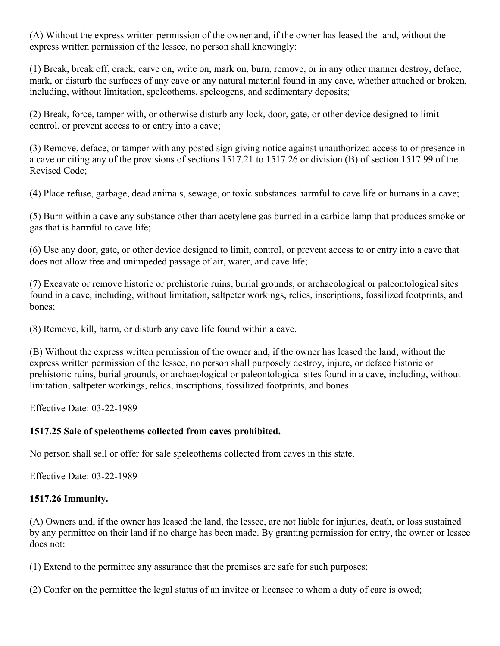(A) Without the express written permission of the owner and, if the owner has leased the land, without the express written permission of the lessee, no person shall knowingly:

(1) Break, break off, crack, carve on, write on, mark on, burn, remove, or in any other manner destroy, deface, mark, or disturb the surfaces of any cave or any natural material found in any cave, whether attached or broken, including, without limitation, speleothems, speleogens, and sedimentary deposits;

(2) Break, force, tamper with, or otherwise disturb any lock, door, gate, or other device designed to limit control, or prevent access to or entry into a cave;

(3) Remove, deface, or tamper with any posted sign giving notice against unauthorized access to or presence in a cave or citing any of the provisions of sections 1517.21 to 1517.26 or division (B) of section 1517.99 of the Revised Code;

(4) Place refuse, garbage, dead animals, sewage, or toxic substances harmful to cave life or humans in a cave;

(5) Burn within a cave any substance other than acetylene gas burned in a carbide lamp that produces smoke or gas that is harmful to cave life;

(6) Use any door, gate, or other device designed to limit, control, or prevent access to or entry into a cave that does not allow free and unimpeded passage of air, water, and cave life;

(7) Excavate or remove historic or prehistoric ruins, burial grounds, or archaeological or paleontological sites found in a cave, including, without limitation, saltpeter workings, relics, inscriptions, fossilized footprints, and bones;

(8) Remove, kill, harm, or disturb any cave life found within a cave.

(B) Without the express written permission of the owner and, if the owner has leased the land, without the express written permission of the lessee, no person shall purposely destroy, injure, or deface historic or prehistoric ruins, burial grounds, or archaeological or paleontological sites found in a cave, including, without limitation, saltpeter workings, relics, inscriptions, fossilized footprints, and bones.

Effective Date: 03-22-1989

#### **1517.25 Sale of speleothems collected from caves prohibited.**

No person shall sell or offer for sale speleothems collected from caves in this state.

Effective Date: 03-22-1989

#### **1517.26 Immunity.**

(A) Owners and, if the owner has leased the land, the lessee, are not liable for injuries, death, or loss sustained by any permittee on their land if no charge has been made. By granting permission for entry, the owner or lessee does not:

(1) Extend to the permittee any assurance that the premises are safe for such purposes;

(2) Confer on the permittee the legal status of an invitee or licensee to whom a duty of care is owed;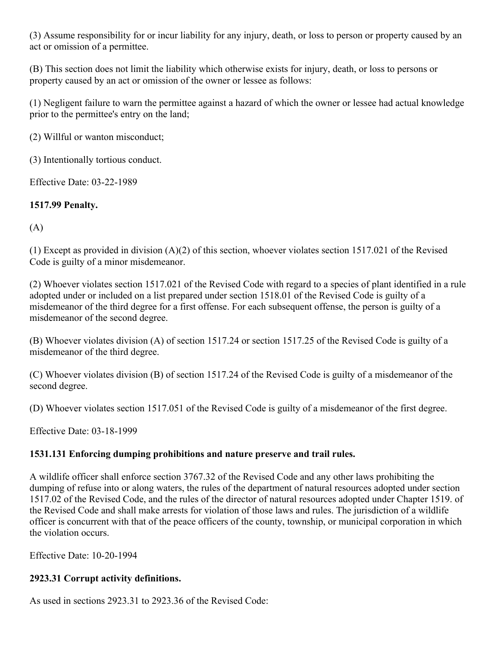(3) Assume responsibility for or incur liability for any injury, death, or loss to person or property caused by an act or omission of a permittee.

(B) This section does not limit the liability which otherwise exists for injury, death, or loss to persons or property caused by an act or omission of the owner or lessee as follows:

(1) Negligent failure to warn the permittee against a hazard of which the owner or lessee had actual knowledge prior to the permittee's entry on the land;

(2) Willful or wanton misconduct;

(3) Intentionally tortious conduct.

Effective Date: 03-22-1989

## **1517.99 Penalty.**

# (A)

(1) Except as provided in division (A)(2) of this section, whoever violates section 1517.021 of the Revised Code is guilty of a minor misdemeanor.

(2) Whoever violates section 1517.021 of the Revised Code with regard to a species of plant identified in a rule adopted under or included on a list prepared under section 1518.01 of the Revised Code is guilty of a misdemeanor of the third degree for a first offense. For each subsequent offense, the person is guilty of a misdemeanor of the second degree.

(B) Whoever violates division (A) of section 1517.24 or section 1517.25 of the Revised Code is guilty of a misdemeanor of the third degree.

(C) Whoever violates division (B) of section 1517.24 of the Revised Code is guilty of a misdemeanor of the second degree.

(D) Whoever violates section 1517.051 of the Revised Code is guilty of a misdemeanor of the first degree.

Effective Date: 03-18-1999

# **1531.131 Enforcing dumping prohibitions and nature preserve and trail rules.**

A wildlife officer shall enforce section 3767.32 of the Revised Code and any other laws prohibiting the dumping of refuse into or along waters, the rules of the department of natural resources adopted under section 1517.02 of the Revised Code, and the rules of the director of natural resources adopted under Chapter 1519. of the Revised Code and shall make arrests for violation of those laws and rules. The jurisdiction of a wildlife officer is concurrent with that of the peace officers of the county, township, or municipal corporation in which the violation occurs.

Effective Date: 10-20-1994

# **2923.31 Corrupt activity definitions.**

As used in sections 2923.31 to 2923.36 of the Revised Code: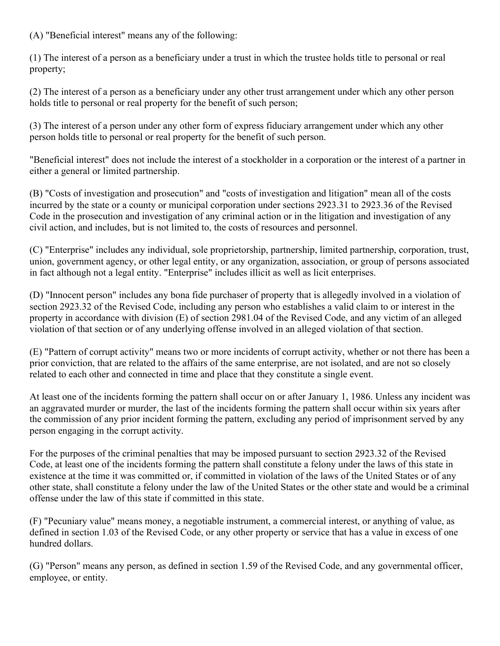(A) "Beneficial interest" means any of the following:

(1) The interest of a person as a beneficiary under a trust in which the trustee holds title to personal or real property;

(2) The interest of a person as a beneficiary under any other trust arrangement under which any other person holds title to personal or real property for the benefit of such person;

(3) The interest of a person under any other form of express fiduciary arrangement under which any other person holds title to personal or real property for the benefit of such person.

"Beneficial interest" does not include the interest of a stockholder in a corporation or the interest of a partner in either a general or limited partnership.

(B) "Costs of investigation and prosecution" and "costs of investigation and litigation" mean all of the costs incurred by the state or a county or municipal corporation under sections 2923.31 to 2923.36 of the Revised Code in the prosecution and investigation of any criminal action or in the litigation and investigation of any civil action, and includes, but is not limited to, the costs of resources and personnel.

(C) "Enterprise" includes any individual, sole proprietorship, partnership, limited partnership, corporation, trust, union, government agency, or other legal entity, or any organization, association, or group of persons associated in fact although not a legal entity. "Enterprise" includes illicit as well as licit enterprises.

(D) "Innocent person" includes any bona fide purchaser of property that is allegedly involved in a violation of section 2923.32 of the Revised Code, including any person who establishes a valid claim to or interest in the property in accordance with division (E) of section 2981.04 of the Revised Code, and any victim of an alleged violation of that section or of any underlying offense involved in an alleged violation of that section.

(E) "Pattern of corrupt activity" means two or more incidents of corrupt activity, whether or not there has been a prior conviction, that are related to the affairs of the same enterprise, are not isolated, and are not so closely related to each other and connected in time and place that they constitute a single event.

At least one of the incidents forming the pattern shall occur on or after January 1, 1986. Unless any incident was an aggravated murder or murder, the last of the incidents forming the pattern shall occur within six years after the commission of any prior incident forming the pattern, excluding any period of imprisonment served by any person engaging in the corrupt activity.

For the purposes of the criminal penalties that may be imposed pursuant to section 2923.32 of the Revised Code, at least one of the incidents forming the pattern shall constitute a felony under the laws of this state in existence at the time it was committed or, if committed in violation of the laws of the United States or of any other state, shall constitute a felony under the law of the United States or the other state and would be a criminal offense under the law of this state if committed in this state.

(F) "Pecuniary value" means money, a negotiable instrument, a commercial interest, or anything of value, as defined in section 1.03 of the Revised Code, or any other property or service that has a value in excess of one hundred dollars.

(G) "Person" means any person, as defined in section 1.59 of the Revised Code, and any governmental officer, employee, or entity.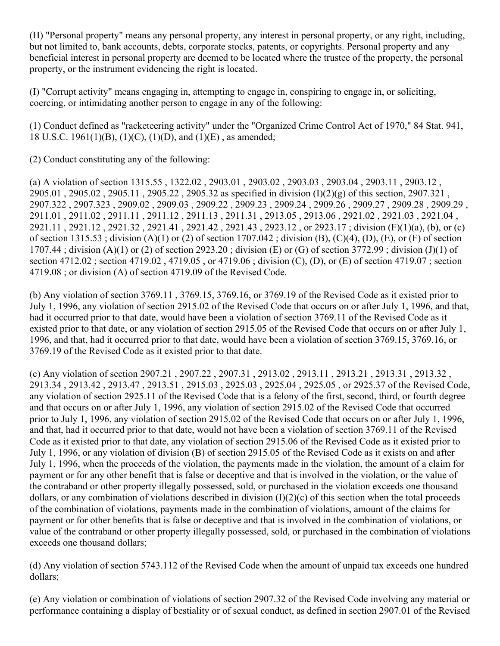(H) "Personal property" means any personal property, any interest in personal property, or any right, including, but not limited to, bank accounts, debts, corporate stocks, patents, or copyrights. Personal property and any beneficial interest in personal property are deemed to be located where the trustee of the property, the personal property, or the instrument evidencing the right is located.

(I) "Corrupt activity" means engaging in, attempting to engage in, conspiring to engage in, or soliciting, coercing, or intimidating another person to engage in any of the following:

(1) Conduct defined as "racketeering activity" under the "Organized Crime Control Act of 1970," 84 Stat. 941, 18 U.S.C. 1961(1)(B), (1)(C), (1)(D), and (1)(E) , as amended;

(2) Conduct constituting any of the following:

(a) A violation of section 1315.55 , 1322.02 , 2903.01 , 2903.02 , 2903.03 , 2903.04 , 2903.11 , 2903.12 , 2905.01 , 2905.02 , 2905.11 , 2905.22 , 2905.32 as specified in division (I)(2)(g) of this section, 2907.321 , 2907.322 , 2907.323 , 2909.02 , 2909.03 , 2909.22 , 2909.23 , 2909.24 , 2909.26 , 2909.27 , 2909.28 , 2909.29 , 2911.01 , 2911.02 , 2911.11 , 2911.12 , 2911.13 , 2911.31 , 2913.05 , 2913.06 , 2921.02 , 2921.03 , 2921.04 , 2921.11 , 2921.12 , 2921.32 , 2921.41 , 2921.42 , 2921.43 , 2923.12 , or 2923.17 ; division (F)(1)(a), (b), or (c) of section 1315.53; division  $(A)(1)$  or (2) of section 1707.042; division  $(B)$ ,  $(C)(4)$ ,  $(D)$ ,  $(E)$ , or  $(F)$  of section 1707.44 ; division (A)(1) or (2) of section 2923.20 ; division (E) or (G) of section 3772.99 ; division (J)(1) of section 4712.02 ; section 4719.02 , 4719.05 , or 4719.06 ; division (C), (D), or (E) of section 4719.07 ; section 4719.08 ; or division (A) of section 4719.09 of the Revised Code.

(b) Any violation of section 3769.11 , 3769.15, 3769.16, or 3769.19 of the Revised Code as it existed prior to July 1, 1996, any violation of section 2915.02 of the Revised Code that occurs on or after July 1, 1996, and that, had it occurred prior to that date, would have been a violation of section 3769.11 of the Revised Code as it existed prior to that date, or any violation of section 2915.05 of the Revised Code that occurs on or after July 1, 1996, and that, had it occurred prior to that date, would have been a violation of section 3769.15, 3769.16, or 3769.19 of the Revised Code as it existed prior to that date.

(c) Any violation of section 2907.21 , 2907.22 , 2907.31 , 2913.02 , 2913.11 , 2913.21 , 2913.31 , 2913.32 , 2913.34 , 2913.42 , 2913.47 , 2913.51 , 2915.03 , 2925.03 , 2925.04 , 2925.05 , or 2925.37 of the Revised Code, any violation of section 2925.11 of the Revised Code that is a felony of the first, second, third, or fourth degree and that occurs on or after July 1, 1996, any violation of section 2915.02 of the Revised Code that occurred prior to July 1, 1996, any violation of section 2915.02 of the Revised Code that occurs on or after July 1, 1996, and that, had it occurred prior to that date, would not have been a violation of section 3769.11 of the Revised Code as it existed prior to that date, any violation of section 2915.06 of the Revised Code as it existed prior to July 1, 1996, or any violation of division (B) of section 2915.05 of the Revised Code as it exists on and after July 1, 1996, when the proceeds of the violation, the payments made in the violation, the amount of a claim for payment or for any other benefit that is false or deceptive and that is involved in the violation, or the value of the contraband or other property illegally possessed, sold, or purchased in the violation exceeds one thousand dollars, or any combination of violations described in division  $(I)(2)(c)$  of this section when the total proceeds of the combination of violations, payments made in the combination of violations, amount of the claims for payment or for other benefits that is false or deceptive and that is involved in the combination of violations, or value of the contraband or other property illegally possessed, sold, or purchased in the combination of violations exceeds one thousand dollars;

(d) Any violation of section 5743.112 of the Revised Code when the amount of unpaid tax exceeds one hundred dollars;

(e) Any violation or combination of violations of section 2907.32 of the Revised Code involving any material or performance containing a display of bestiality or of sexual conduct, as defined in section 2907.01 of the Revised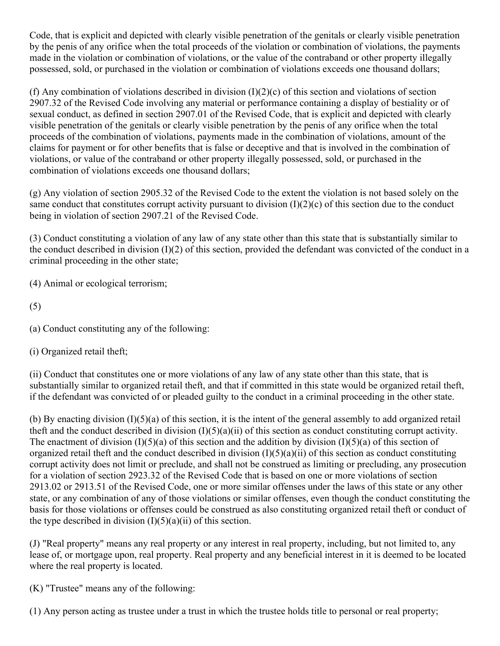Code, that is explicit and depicted with clearly visible penetration of the genitals or clearly visible penetration by the penis of any orifice when the total proceeds of the violation or combination of violations, the payments made in the violation or combination of violations, or the value of the contraband or other property illegally possessed, sold, or purchased in the violation or combination of violations exceeds one thousand dollars;

(f) Any combination of violations described in division (I)(2)(c) of this section and violations of section 2907.32 of the Revised Code involving any material or performance containing a display of bestiality or of sexual conduct, as defined in section 2907.01 of the Revised Code, that is explicit and depicted with clearly visible penetration of the genitals or clearly visible penetration by the penis of any orifice when the total proceeds of the combination of violations, payments made in the combination of violations, amount of the claims for payment or for other benefits that is false or deceptive and that is involved in the combination of violations, or value of the contraband or other property illegally possessed, sold, or purchased in the combination of violations exceeds one thousand dollars;

(g) Any violation of section 2905.32 of the Revised Code to the extent the violation is not based solely on the same conduct that constitutes corrupt activity pursuant to division (I)(2)(c) of this section due to the conduct being in violation of section 2907.21 of the Revised Code.

(3) Conduct constituting a violation of any law of any state other than this state that is substantially similar to the conduct described in division (I)(2) of this section, provided the defendant was convicted of the conduct in a criminal proceeding in the other state;

(4) Animal or ecological terrorism;

(5)

(a) Conduct constituting any of the following:

(i) Organized retail theft;

(ii) Conduct that constitutes one or more violations of any law of any state other than this state, that is substantially similar to organized retail theft, and that if committed in this state would be organized retail theft, if the defendant was convicted of or pleaded guilty to the conduct in a criminal proceeding in the other state.

(b) By enacting division (I)(5)(a) of this section, it is the intent of the general assembly to add organized retail theft and the conduct described in division  $(I)(5)(a)(ii)$  of this section as conduct constituting corrupt activity. The enactment of division  $(I)(5)(a)$  of this section and the addition by division  $(I)(5)(a)$  of this section of organized retail theft and the conduct described in division  $(I)(5)(a)(ii)$  of this section as conduct constituting corrupt activity does not limit or preclude, and shall not be construed as limiting or precluding, any prosecution for a violation of section 2923.32 of the Revised Code that is based on one or more violations of section 2913.02 or 2913.51 of the Revised Code, one or more similar offenses under the laws of this state or any other state, or any combination of any of those violations or similar offenses, even though the conduct constituting the basis for those violations or offenses could be construed as also constituting organized retail theft or conduct of the type described in division  $(I)(5)(a)(ii)$  of this section.

(J) "Real property" means any real property or any interest in real property, including, but not limited to, any lease of, or mortgage upon, real property. Real property and any beneficial interest in it is deemed to be located where the real property is located.

(K) "Trustee" means any of the following:

(1) Any person acting as trustee under a trust in which the trustee holds title to personal or real property;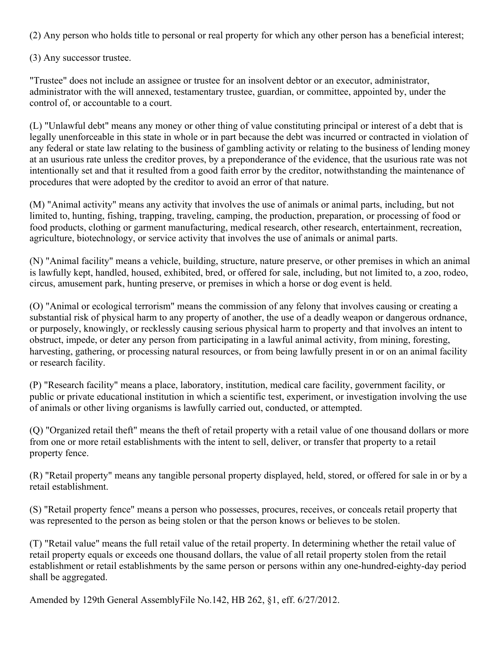(2) Any person who holds title to personal or real property for which any other person has a beneficial interest;

(3) Any successor trustee.

"Trustee" does not include an assignee or trustee for an insolvent debtor or an executor, administrator, administrator with the will annexed, testamentary trustee, guardian, or committee, appointed by, under the control of, or accountable to a court.

(L) "Unlawful debt" means any money or other thing of value constituting principal or interest of a debt that is legally unenforceable in this state in whole or in part because the debt was incurred or contracted in violation of any federal or state law relating to the business of gambling activity or relating to the business of lending money at an usurious rate unless the creditor proves, by a preponderance of the evidence, that the usurious rate was not intentionally set and that it resulted from a good faith error by the creditor, notwithstanding the maintenance of procedures that were adopted by the creditor to avoid an error of that nature.

(M) "Animal activity" means any activity that involves the use of animals or animal parts, including, but not limited to, hunting, fishing, trapping, traveling, camping, the production, preparation, or processing of food or food products, clothing or garment manufacturing, medical research, other research, entertainment, recreation, agriculture, biotechnology, or service activity that involves the use of animals or animal parts.

(N) "Animal facility" means a vehicle, building, structure, nature preserve, or other premises in which an animal is lawfully kept, handled, housed, exhibited, bred, or offered for sale, including, but not limited to, a zoo, rodeo, circus, amusement park, hunting preserve, or premises in which a horse or dog event is held.

(O) "Animal or ecological terrorism" means the commission of any felony that involves causing or creating a substantial risk of physical harm to any property of another, the use of a deadly weapon or dangerous ordnance, or purposely, knowingly, or recklessly causing serious physical harm to property and that involves an intent to obstruct, impede, or deter any person from participating in a lawful animal activity, from mining, foresting, harvesting, gathering, or processing natural resources, or from being lawfully present in or on an animal facility or research facility.

(P) "Research facility" means a place, laboratory, institution, medical care facility, government facility, or public or private educational institution in which a scientific test, experiment, or investigation involving the use of animals or other living organisms is lawfully carried out, conducted, or attempted.

(Q) "Organized retail theft" means the theft of retail property with a retail value of one thousand dollars or more from one or more retail establishments with the intent to sell, deliver, or transfer that property to a retail property fence.

(R) "Retail property" means any tangible personal property displayed, held, stored, or offered for sale in or by a retail establishment.

(S) "Retail property fence" means a person who possesses, procures, receives, or conceals retail property that was represented to the person as being stolen or that the person knows or believes to be stolen.

(T) "Retail value" means the full retail value of the retail property. In determining whether the retail value of retail property equals or exceeds one thousand dollars, the value of all retail property stolen from the retail establishment or retail establishments by the same person or persons within any one-hundred-eighty-day period shall be aggregated.

Amended by 129th General AssemblyFile No.142, HB 262, §1, eff. 6/27/2012.